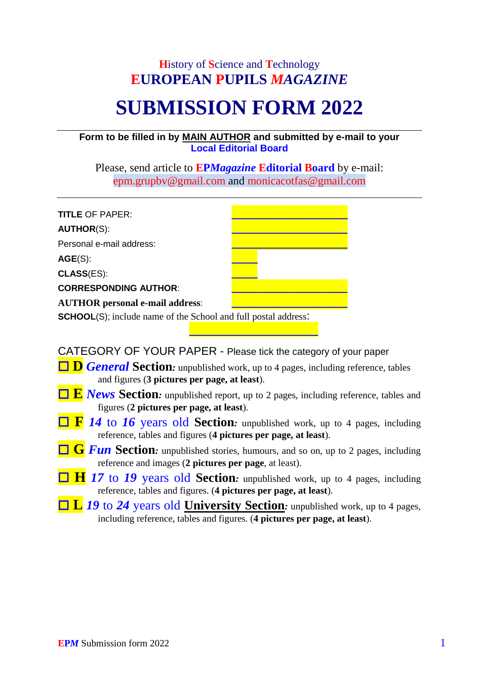## **H**istory of **S**cience and **T**echnology **EUROPEAN PUPILS** *MAGAZINE*

## **SUBMISSION FORM 2022**

## **Form to be filled in by MAIN AUTHOR and submitted by e-mail to your Local Editorial Board**

Please, send article to **EP***Magazine* **Editorial Board** by e-mail: epm.grupbv@gmail.com and monicacotfas@gmail.com

| <b>TITLE OF PAPER:</b>                                                 |  |
|------------------------------------------------------------------------|--|
| <b>AUTHOR(S):</b>                                                      |  |
| Personal e-mail address:                                               |  |
| AGE(S):                                                                |  |
| <b>CLASS(ES):</b>                                                      |  |
| <b>CORRESPONDING AUTHOR:</b>                                           |  |
| <b>AUTHOR</b> personal e-mail address:                                 |  |
| <b>SCHOOL(S)</b> ; include name of the School and full postal address: |  |

CATEGORY OF YOUR PAPER - Please tick the category of your paper

- **□ D** *General* Section: unpublished work, up to 4 pages, including reference, tables and figures (**3 pictures per page, at least**).
- **E** *News* Section: unpublished report, up to 2 pages, including reference, tables and figures (**2 pictures per page, at least**).
- **F** *14* to *16* years old **Section***:* unpublished work, up to 4 pages, including reference, tables and figures (**4 pictures per page, at least**).
- **□** *G Fun* Section: unpublished stories, humours, and so on, up to 2 pages, including reference and images (**2 pictures per page**, at least).
- **H** 17 to 19 years old **Section**: unpublished work, up to 4 pages, including reference, tables and figures. (**4 pictures per page, at least**).
- **L** *19* to *24* years old **University Section***:* unpublished work, up to 4 pages, including reference, tables and figures. (**4 pictures per page, at least**).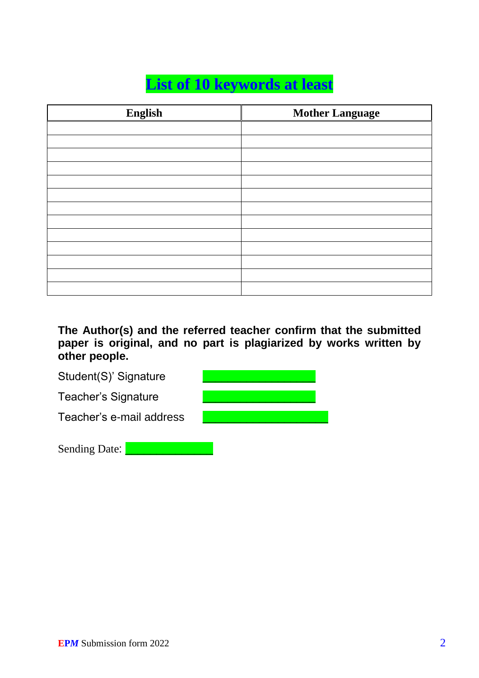## **List of 10 keywords at least**

| English | <b>Mother Language</b> |
|---------|------------------------|
|         |                        |
|         |                        |
|         |                        |
|         |                        |
|         |                        |
|         |                        |
|         |                        |
|         |                        |
|         |                        |
|         |                        |
|         |                        |
|         |                        |
|         |                        |

**The Author(s) and the referred teacher confirm that the submitted paper is original, and no part is plagiarized by works written by other people.**